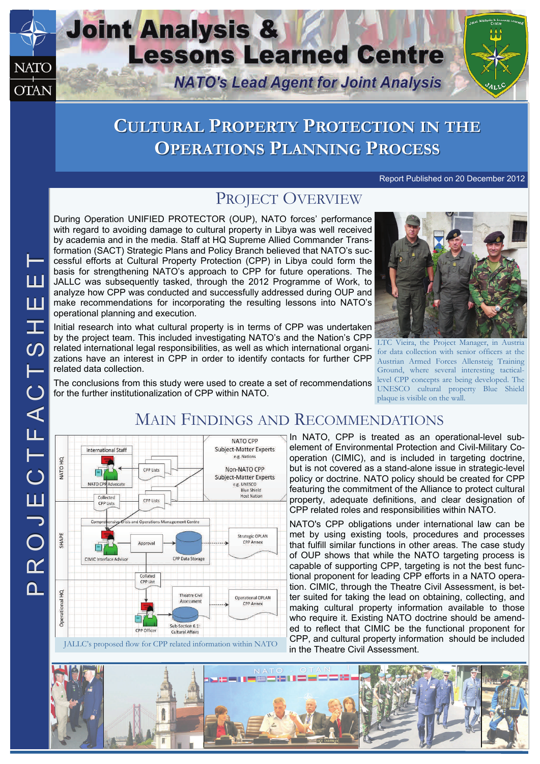## **Joint Analysis & Lessons Learned Centre NATO NATO's Lead Agent for Joint Analysis OTAN**

# **CULTURAL ULTURAL PROPERTY ROPERTY PROTECTION ROTECTION IN THE OPERATIONS PERATIONS PLANNING LANNING PROCESS**

Report Published on 20 December 2012

## PROJECT OVERVIEW

During Operation UNIFIED PROTECTOR (OUP), NATO forces' performance with regard to avoiding damage to cultural property in Libya was well received by academia and in the media. Staff at HQ Supreme Allied Commander Transformation (SACT) Strategic Plans and Policy Branch believed that NATO's successful efforts at Cultural Property Protection (CPP) in Libya could form the basis for strengthening NATO's approach to CPP for future operations. The JALLC was subsequently tasked, through the 2012 Programme of Work, to analyze how CPP was conducted and successfully addressed during OUP and make recommendations for incorporating the resulting lessons into NATO's operational planning and execution.

Initial research into what cultural property is in terms of CPP was undertaken by the project team. This included investigating NATO's and the Nation's CPP related international legal responsibilities, as well as which international organizations have an interest in CPP in order to identify contacts for further CPP related data collection.



LTC Vieira, the Project Manager, in Austria for data collection with senior officers at the Austrian Armed Forces Allensteig Training Ground, where several interesting tacticallevel CPP concepts are being developed. The UNESCO cultural property Blue Shield plaque is visible on the wall.

The conclusions from this study were used to create a set of recommendations for the further institutionalization of CPP within NATO.

## MAIN FINDINGS AND RECOMMENDATIONS



In NATO, CPP is treated as an operational-level subelement of Environmental Protection and Civil-Military Cooperation (CIMIC), and is included in targeting doctrine, but is not covered as a stand-alone issue in strategic-level policy or doctrine. NATO policy should be created for CPP featuring the commitment of the Alliance to protect cultural property, adequate definitions, and clear designation of CPP related roles and responsibilities within NATO.

NATO's CPP obligations under international law can be met by using existing tools, procedures and processes that fulfill similar functions in other areas. The case study of OUP shows that while the NATO targeting process is capable of supporting CPP, targeting is not the best functional proponent for leading CPP efforts in a NATO operation. CIMIC, through the Theatre Civil Assessment, is better suited for taking the lead on obtaining, collecting, and making cultural property information available to those who require it. Existing NATO doctrine should be amended to reflect that CIMIC be the functional proponent for CPP, and cultural property information should be included in the Theatre Civil Assessment.